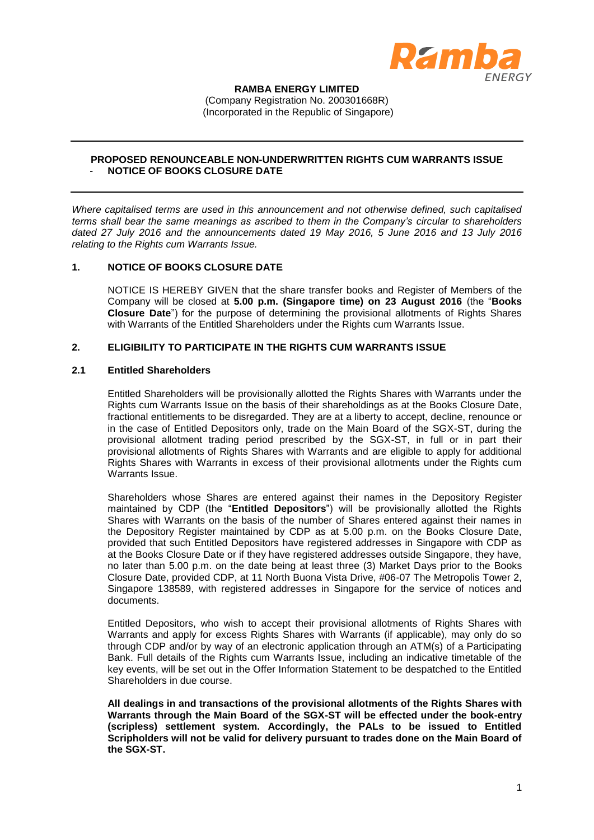

**RAMBA ENERGY LIMITED** (Company Registration No. 200301668R) (Incorporated in the Republic of Singapore)

# **PROPOSED RENOUNCEABLE NON-UNDERWRITTEN RIGHTS CUM WARRANTS ISSUE** - **NOTICE OF BOOKS CLOSURE DATE**

*Where capitalised terms are used in this announcement and not otherwise defined, such capitalised terms shall bear the same meanings as ascribed to them in the Company's circular to shareholders dated 27 July 2016 and the announcements dated 19 May 2016, 5 June 2016 and 13 July 2016 relating to the Rights cum Warrants Issue.*

## **1. NOTICE OF BOOKS CLOSURE DATE**

NOTICE IS HEREBY GIVEN that the share transfer books and Register of Members of the Company will be closed at **5.00 p.m. (Singapore time) on 23 August 2016** (the "**Books Closure Date**") for the purpose of determining the provisional allotments of Rights Shares with Warrants of the Entitled Shareholders under the Rights cum Warrants Issue.

# **2. ELIGIBILITY TO PARTICIPATE IN THE RIGHTS CUM WARRANTS ISSUE**

## **2.1 Entitled Shareholders**

Entitled Shareholders will be provisionally allotted the Rights Shares with Warrants under the Rights cum Warrants Issue on the basis of their shareholdings as at the Books Closure Date, fractional entitlements to be disregarded. They are at a liberty to accept, decline, renounce or in the case of Entitled Depositors only, trade on the Main Board of the SGX-ST, during the provisional allotment trading period prescribed by the SGX-ST, in full or in part their provisional allotments of Rights Shares with Warrants and are eligible to apply for additional Rights Shares with Warrants in excess of their provisional allotments under the Rights cum Warrants Issue.

Shareholders whose Shares are entered against their names in the Depository Register maintained by CDP (the "**Entitled Depositors**") will be provisionally allotted the Rights Shares with Warrants on the basis of the number of Shares entered against their names in the Depository Register maintained by CDP as at 5.00 p.m. on the Books Closure Date, provided that such Entitled Depositors have registered addresses in Singapore with CDP as at the Books Closure Date or if they have registered addresses outside Singapore, they have, no later than 5.00 p.m. on the date being at least three (3) Market Days prior to the Books Closure Date, provided CDP, at 11 North Buona Vista Drive, #06-07 The Metropolis Tower 2, Singapore 138589, with registered addresses in Singapore for the service of notices and documents.

Entitled Depositors, who wish to accept their provisional allotments of Rights Shares with Warrants and apply for excess Rights Shares with Warrants (if applicable), may only do so through CDP and/or by way of an electronic application through an ATM(s) of a Participating Bank. Full details of the Rights cum Warrants Issue, including an indicative timetable of the key events, will be set out in the Offer Information Statement to be despatched to the Entitled Shareholders in due course.

**All dealings in and transactions of the provisional allotments of the Rights Shares with Warrants through the Main Board of the SGX-ST will be effected under the book-entry (scripless) settlement system. Accordingly, the PALs to be issued to Entitled Scripholders will not be valid for delivery pursuant to trades done on the Main Board of the SGX-ST.**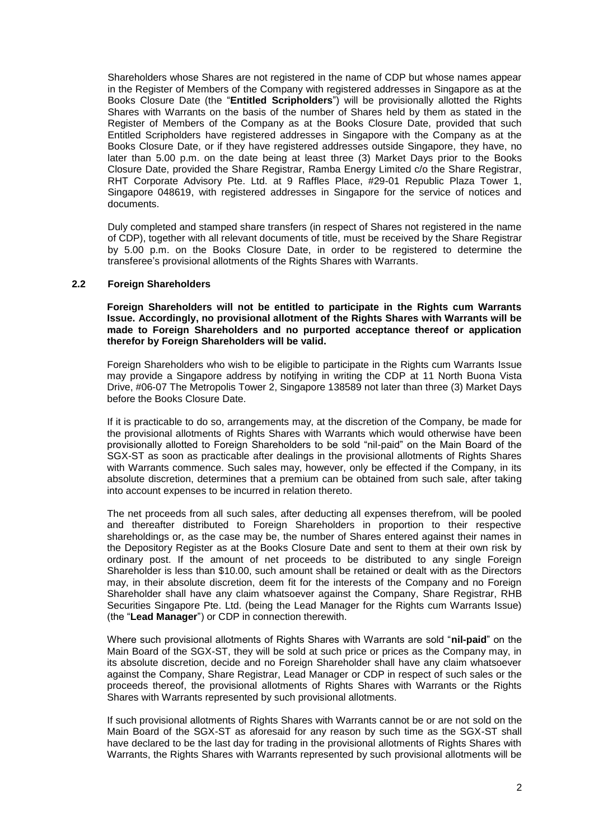Shareholders whose Shares are not registered in the name of CDP but whose names appear in the Register of Members of the Company with registered addresses in Singapore as at the Books Closure Date (the "**Entitled Scripholders**") will be provisionally allotted the Rights Shares with Warrants on the basis of the number of Shares held by them as stated in the Register of Members of the Company as at the Books Closure Date, provided that such Entitled Scripholders have registered addresses in Singapore with the Company as at the Books Closure Date, or if they have registered addresses outside Singapore, they have, no later than 5.00 p.m. on the date being at least three (3) Market Days prior to the Books Closure Date, provided the Share Registrar, Ramba Energy Limited c/o the Share Registrar, RHT Corporate Advisory Pte. Ltd. at 9 Raffles Place, #29-01 Republic Plaza Tower 1, Singapore 048619, with registered addresses in Singapore for the service of notices and documents.

Duly completed and stamped share transfers (in respect of Shares not registered in the name of CDP), together with all relevant documents of title, must be received by the Share Registrar by 5.00 p.m. on the Books Closure Date, in order to be registered to determine the transferee's provisional allotments of the Rights Shares with Warrants.

#### **2.2 Foreign Shareholders**

**Foreign Shareholders will not be entitled to participate in the Rights cum Warrants Issue. Accordingly, no provisional allotment of the Rights Shares with Warrants will be made to Foreign Shareholders and no purported acceptance thereof or application therefor by Foreign Shareholders will be valid.**

Foreign Shareholders who wish to be eligible to participate in the Rights cum Warrants Issue may provide a Singapore address by notifying in writing the CDP at 11 North Buona Vista Drive, #06-07 The Metropolis Tower 2, Singapore 138589 not later than three (3) Market Days before the Books Closure Date.

If it is practicable to do so, arrangements may, at the discretion of the Company, be made for the provisional allotments of Rights Shares with Warrants which would otherwise have been provisionally allotted to Foreign Shareholders to be sold "nil-paid" on the Main Board of the SGX-ST as soon as practicable after dealings in the provisional allotments of Rights Shares with Warrants commence. Such sales may, however, only be effected if the Company, in its absolute discretion, determines that a premium can be obtained from such sale, after taking into account expenses to be incurred in relation thereto.

The net proceeds from all such sales, after deducting all expenses therefrom, will be pooled and thereafter distributed to Foreign Shareholders in proportion to their respective shareholdings or, as the case may be, the number of Shares entered against their names in the Depository Register as at the Books Closure Date and sent to them at their own risk by ordinary post. If the amount of net proceeds to be distributed to any single Foreign Shareholder is less than \$10.00, such amount shall be retained or dealt with as the Directors may, in their absolute discretion, deem fit for the interests of the Company and no Foreign Shareholder shall have any claim whatsoever against the Company, Share Registrar, RHB Securities Singapore Pte. Ltd. (being the Lead Manager for the Rights cum Warrants Issue) (the "**Lead Manager**") or CDP in connection therewith.

Where such provisional allotments of Rights Shares with Warrants are sold "**nil-paid**" on the Main Board of the SGX-ST, they will be sold at such price or prices as the Company may, in its absolute discretion, decide and no Foreign Shareholder shall have any claim whatsoever against the Company, Share Registrar, Lead Manager or CDP in respect of such sales or the proceeds thereof, the provisional allotments of Rights Shares with Warrants or the Rights Shares with Warrants represented by such provisional allotments.

If such provisional allotments of Rights Shares with Warrants cannot be or are not sold on the Main Board of the SGX-ST as aforesaid for any reason by such time as the SGX-ST shall have declared to be the last day for trading in the provisional allotments of Rights Shares with Warrants, the Rights Shares with Warrants represented by such provisional allotments will be